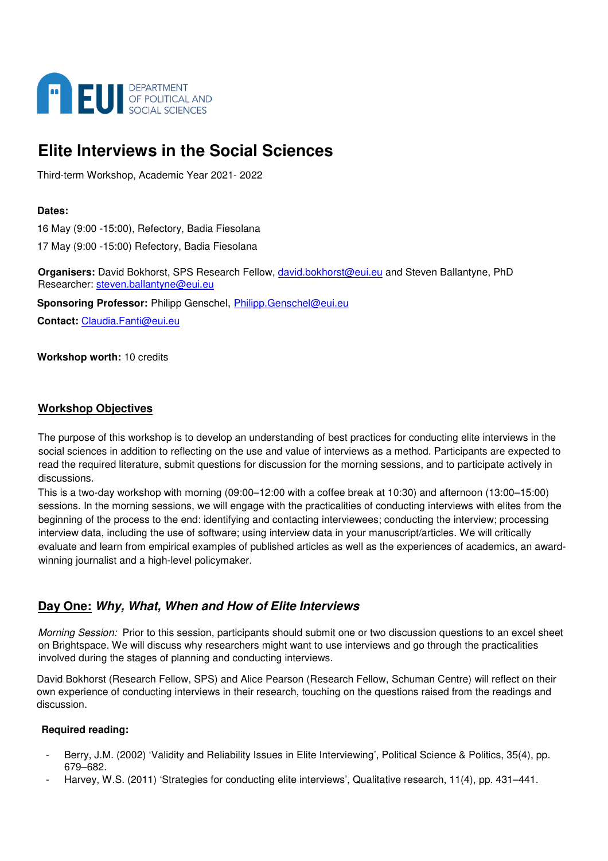

# **Elite Interviews in the Social Sciences**

Third-term Workshop, Academic Year 2021- 2022

#### **Dates:**

16 May (9:00 -15:00), Refectory, Badia Fiesolana

17 May (9:00 -15:00) Refectory, Badia Fiesolana

**Organisers:** David Bokhorst, SPS Research Fellow, david.bokhorst@eui.eu and Steven Ballantyne, PhD Researcher: steven.ballantyne@eui.eu

**Sponsoring Professor:** Philipp Genschel, Philipp.Genschel@eui.eu **Contact:** Claudia.Fanti@eui.eu

**Workshop worth:** 10 credits

### **Workshop Objectives**

The purpose of this workshop is to develop an understanding of best practices for conducting elite interviews in the social sciences in addition to reflecting on the use and value of interviews as a method. Participants are expected to read the required literature, submit questions for discussion for the morning sessions, and to participate actively in discussions.

This is a two-day workshop with morning (09:00–12:00 with a coffee break at 10:30) and afternoon (13:00–15:00) sessions. In the morning sessions, we will engage with the practicalities of conducting interviews with elites from the beginning of the process to the end: identifying and contacting interviewees; conducting the interview; processing interview data, including the use of software; using interview data in your manuscript/articles. We will critically evaluate and learn from empirical examples of published articles as well as the experiences of academics, an awardwinning journalist and a high-level policymaker.

# **Day One: Why, What, When and How of Elite Interviews**

*Morning Session:* Prior to this session, participants should submit one or two discussion questions to an excel sheet on Brightspace. We will discuss why researchers might want to use interviews and go through the practicalities involved during the stages of planning and conducting interviews.

David Bokhorst (Research Fellow, SPS) and Alice Pearson (Research Fellow, Schuman Centre) will reflect on their own experience of conducting interviews in their research, touching on the questions raised from the readings and discussion.

#### **Required reading:**

- Berry, J.M. (2002) 'Validity and Reliability Issues in Elite Interviewing', Political Science & Politics, 35(4), pp. 679–682.
- Harvey, W.S. (2011) 'Strategies for conducting elite interviews', Qualitative research, 11(4), pp. 431–441.